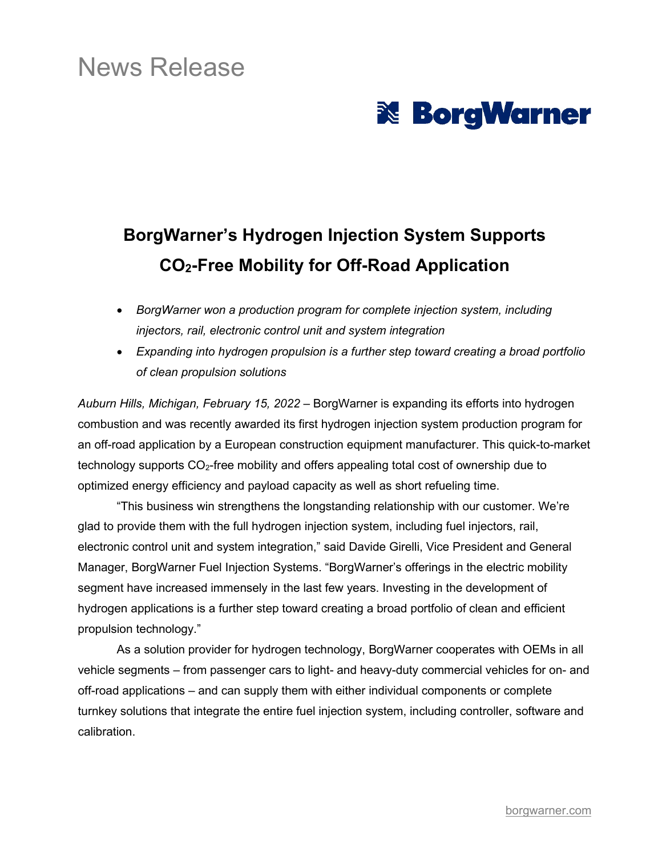## News Release

# **& BorgWarner**

## **BorgWarner's Hydrogen Injection System Supports CO2-Free Mobility for Off-Road Application**

- *BorgWarner won a production program for complete injection system, including injectors, rail, electronic control unit and system integration*
- *Expanding into hydrogen propulsion is a further step toward creating a broad portfolio of clean propulsion solutions*

*Auburn Hills, Michigan, February 15, 2022* – BorgWarner is expanding its efforts into hydrogen combustion and was recently awarded its first hydrogen injection system production program for an off-road application by a European construction equipment manufacturer. This quick-to-market technology supports CO<sub>2</sub>-free mobility and offers appealing total cost of ownership due to optimized energy efficiency and payload capacity as well as short refueling time.

"This business win strengthens the longstanding relationship with our customer. We're glad to provide them with the full hydrogen injection system, including fuel injectors, rail, electronic control unit and system integration," said Davide Girelli, Vice President and General Manager, BorgWarner Fuel Injection Systems. "BorgWarner's offerings in the electric mobility segment have increased immensely in the last few years. Investing in the development of hydrogen applications is a further step toward creating a broad portfolio of clean and efficient propulsion technology."

As a solution provider for hydrogen technology, BorgWarner cooperates with OEMs in all vehicle segments – from passenger cars to light- and heavy-duty commercial vehicles for on- and off-road applications – and can supply them with either individual components or complete turnkey solutions that integrate the entire fuel injection system, including controller, software and calibration.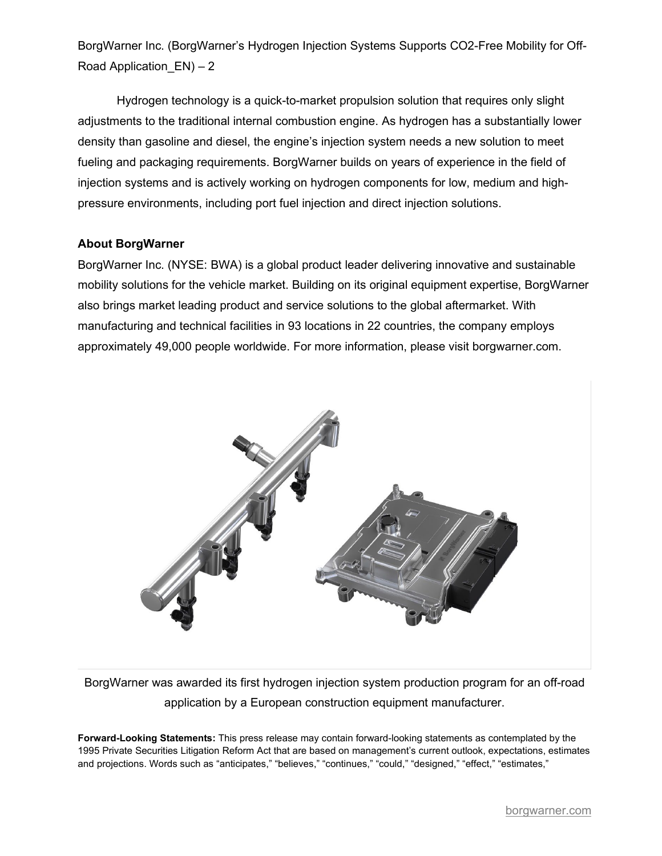BorgWarner Inc. (BorgWarner's Hydrogen Injection Systems Supports CO2-Free Mobility for Off-Road Application  $EN$ ) – 2

Hydrogen technology is a quick-to-market propulsion solution that requires only slight adjustments to the traditional internal combustion engine. As hydrogen has a substantially lower density than gasoline and diesel, the engine's injection system needs a new solution to meet fueling and packaging requirements. BorgWarner builds on years of experience in the field of injection systems and is actively working on hydrogen components for low, medium and highpressure environments, including port fuel injection and direct injection solutions.

#### **About BorgWarner**

BorgWarner Inc. (NYSE: BWA) is a global product leader delivering innovative and sustainable mobility solutions for the vehicle market. Building on its original equipment expertise, BorgWarner also brings market leading product and service solutions to the global aftermarket. With manufacturing and technical facilities in 93 locations in 22 countries, the company employs approximately 49,000 people worldwide. For more information, please visit borgwarner.com.



BorgWarner was awarded its first hydrogen injection system production program for an off-road application by a European construction equipment manufacturer.

**Forward-Looking Statements:** This press release may contain forward-looking statements as contemplated by the 1995 Private Securities Litigation Reform Act that are based on management's current outlook, expectations, estimates and projections. Words such as "anticipates," "believes," "continues," "could," "designed," "effect," "estimates,"